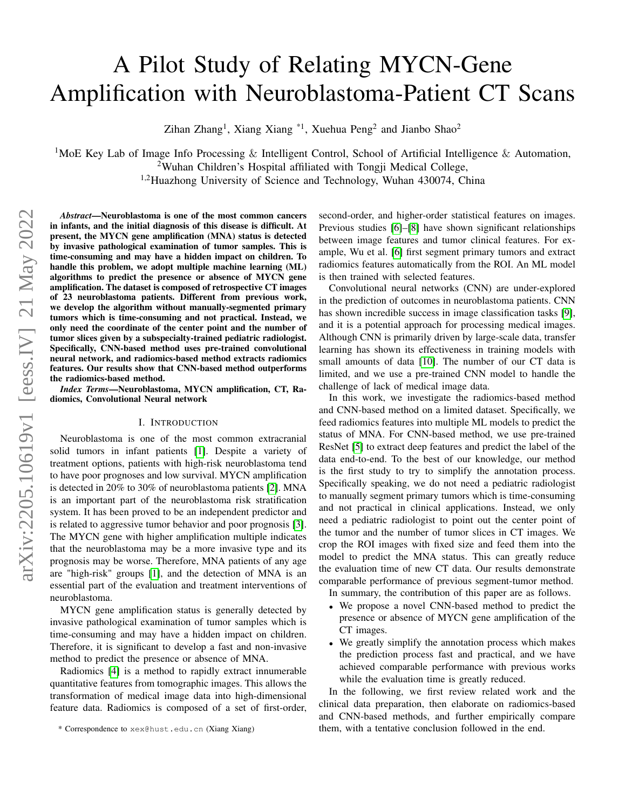# A Pilot Study of Relating MYCN-Gene Amplification with Neuroblastoma-Patient CT Scans

Zihan Zhang<sup>1</sup>, Xiang Xiang \*<sup>1</sup>, Xuehua Peng<sup>2</sup> and Jianbo Shao<sup>2</sup>

<sup>1</sup>MoE Key Lab of Image Info Processing & Intelligent Control, School of Artificial Intelligence & Automation, <sup>2</sup>Wuhan Children's Hospital affiliated with Tongji Medical College,

<sup>1,2</sup>Huazhong University of Science and Technology, Wuhan 430074, China

*Abstract*—Neuroblastoma is one of the most common cancers in infants, and the initial diagnosis of this disease is difficult. At present, the MYCN gene amplification (MNA) status is detected by invasive pathological examination of tumor samples. This is time-consuming and may have a hidden impact on children. To handle this problem, we adopt multiple machine learning (ML) algorithms to predict the presence or absence of MYCN gene amplification. The dataset is composed of retrospective CT images of 23 neuroblastoma patients. Different from previous work, we develop the algorithm without manually-segmented primary tumors which is time-consuming and not practical. Instead, we only need the coordinate of the center point and the number of tumor slices given by a subspecialty-trained pediatric radiologist. Specifically, CNN-based method uses pre-trained convolutional neural network, and radiomics-based method extracts radiomics features. Our results show that CNN-based method outperforms the radiomics-based method.

*Index Terms*—Neuroblastoma, MYCN amplification, CT, Radiomics, Convolutional Neural network

#### I. INTRODUCTION

Neuroblastoma is one of the most common extracranial solid tumors in infant patients [\[1\]](#page-3-0). Despite a variety of treatment options, patients with high-risk neuroblastoma tend to have poor prognoses and low survival. MYCN amplification is detected in 20% to 30% of neuroblastoma patients [\[2\]](#page-3-1). MNA is an important part of the neuroblastoma risk stratification system. It has been proved to be an independent predictor and is related to aggressive tumor behavior and poor prognosis [\[3\]](#page-3-2). The MYCN gene with higher amplification multiple indicates that the neuroblastoma may be a more invasive type and its prognosis may be worse. Therefore, MNA patients of any age are "high-risk" groups [\[1\]](#page-3-0), and the detection of MNA is an essential part of the evaluation and treatment interventions of neuroblastoma.

MYCN gene amplification status is generally detected by invasive pathological examination of tumor samples which is time-consuming and may have a hidden impact on children. Therefore, it is significant to develop a fast and non-invasive method to predict the presence or absence of MNA.

Radiomics [\[4\]](#page-3-3) is a method to rapidly extract innumerable quantitative features from tomographic images. This allows the transformation of medical image data into high-dimensional feature data. Radiomics is composed of a set of first-order,

\* Correspondence to xex@hust.edu.cn (Xiang Xiang)

second-order, and higher-order statistical features on images. Previous studies [\[6\]](#page-3-4)–[\[8\]](#page-3-5) have shown significant relationships between image features and tumor clinical features. For example, Wu et al. [\[6\]](#page-3-4) first segment primary tumors and extract radiomics features automatically from the ROI. An ML model is then trained with selected features.

Convolutional neural networks (CNN) are under-explored in the prediction of outcomes in neuroblastoma patients. CNN has shown incredible success in image classification tasks [\[9\]](#page-3-6), and it is a potential approach for processing medical images. Although CNN is primarily driven by large-scale data, transfer learning has shown its effectiveness in training models with small amounts of data [\[10\]](#page-3-7). The number of our CT data is limited, and we use a pre-trained CNN model to handle the challenge of lack of medical image data.

In this work, we investigate the radiomics-based method and CNN-based method on a limited dataset. Specifically, we feed radiomics features into multiple ML models to predict the status of MNA. For CNN-based method, we use pre-trained ResNet [\[5\]](#page-3-8) to extract deep features and predict the label of the data end-to-end. To the best of our knowledge, our method is the first study to try to simplify the annotation process. Specifically speaking, we do not need a pediatric radiologist to manually segment primary tumors which is time-consuming and not practical in clinical applications. Instead, we only need a pediatric radiologist to point out the center point of the tumor and the number of tumor slices in CT images. We crop the ROI images with fixed size and feed them into the model to predict the MNA status. This can greatly reduce the evaluation time of new CT data. Our results demonstrate comparable performance of previous segment-tumor method.

In summary, the contribution of this paper are as follows.

- We propose a novel CNN-based method to predict the presence or absence of MYCN gene amplification of the CT images.
- We greatly simplify the annotation process which makes the prediction process fast and practical, and we have achieved comparable performance with previous works while the evaluation time is greatly reduced.

In the following, we first review related work and the clinical data preparation, then elaborate on radiomics-based and CNN-based methods, and further empirically compare them, with a tentative conclusion followed in the end.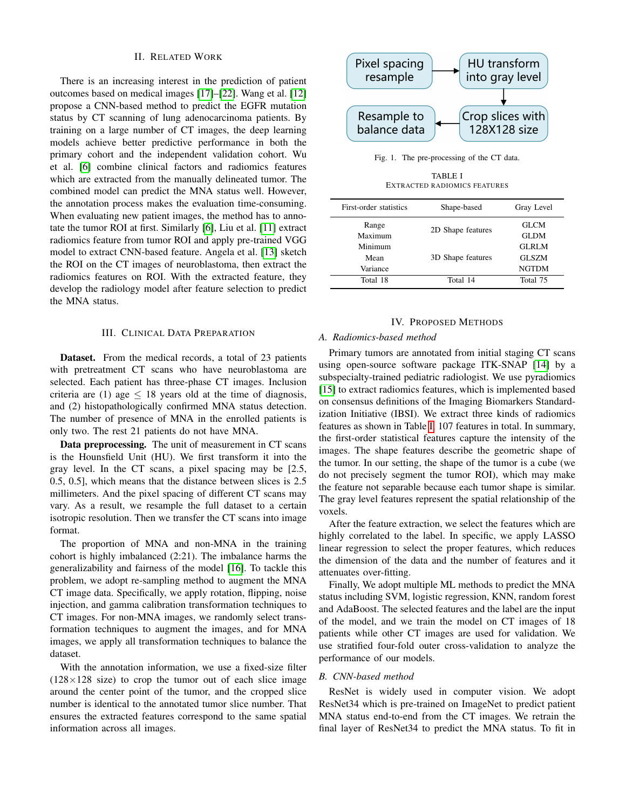## II. RELATED WORK

There is an increasing interest in the prediction of patient outcomes based on medical images [\[17\]](#page-3-9)–[\[22\]](#page-3-10). Wang et al. [\[12\]](#page-3-11) propose a CNN-based method to predict the EGFR mutation status by CT scanning of lung adenocarcinoma patients. By training on a large number of CT images, the deep learning models achieve better predictive performance in both the primary cohort and the independent validation cohort. Wu et al. [\[6\]](#page-3-4) combine clinical factors and radiomics features which are extracted from the manually delineated tumor. The combined model can predict the MNA status well. However, the annotation process makes the evaluation time-consuming. When evaluating new patient images, the method has to annotate the tumor ROI at first. Similarly [\[6\]](#page-3-4), Liu et al. [\[11\]](#page-3-12) extract radiomics feature from tumor ROI and apply pre-trained VGG model to extract CNN-based feature. Angela et al. [\[13\]](#page-3-13) sketch the ROI on the CT images of neuroblastoma, then extract the radiomics features on ROI. With the extracted feature, they develop the radiology model after feature selection to predict the MNA status.

# III. CLINICAL DATA PREPARATION

Dataset. From the medical records, a total of 23 patients with pretreatment CT scans who have neuroblastoma are selected. Each patient has three-phase CT images. Inclusion criteria are (1) age  $\leq$  18 years old at the time of diagnosis, and (2) histopathologically confirmed MNA status detection. The number of presence of MNA in the enrolled patients is only two. The rest 21 patients do not have MNA.

Data preprocessing. The unit of measurement in CT scans is the Hounsfield Unit (HU). We first transform it into the gray level. In the CT scans, a pixel spacing may be [2.5, 0.5, 0.5], which means that the distance between slices is 2.5 millimeters. And the pixel spacing of different CT scans may vary. As a result, we resample the full dataset to a certain isotropic resolution. Then we transfer the CT scans into image format.

The proportion of MNA and non-MNA in the training cohort is highly imbalanced (2:21). The imbalance harms the generalizability and fairness of the model [\[16\]](#page-3-14). To tackle this problem, we adopt re-sampling method to augment the MNA CT image data. Specifically, we apply rotation, flipping, noise injection, and gamma calibration transformation techniques to CT images. For non-MNA images, we randomly select transformation techniques to augment the images, and for MNA images, we apply all transformation techniques to balance the dataset.

With the annotation information, we use a fixed-size filter  $(128\times128$  size) to crop the tumor out of each slice image around the center point of the tumor, and the cropped slice number is identical to the annotated tumor slice number. That ensures the extracted features correspond to the same spatial information across all images.



Fig. 1. The pre-processing of the CT data.

TABLE I EXTRACTED RADIOMICS FEATURES

<span id="page-1-0"></span>

| First-order statistics | Shape-based       | Gray Level   |
|------------------------|-------------------|--------------|
| Range                  | 2D Shape features | <b>GLCM</b>  |
| Maximum                |                   | <b>GLDM</b>  |
| Minimum                |                   | <b>GLRLM</b> |
| Mean                   | 3D Shape features | <b>GLSZM</b> |
| Variance               |                   | <b>NGTDM</b> |
| Total 18               | Total 14          | Total 75     |

## IV. PROPOSED METHODS

## *A. Radiomics-based method*

Primary tumors are annotated from initial staging CT scans using open-source software package ITK-SNAP [\[14\]](#page-3-15) by a subspecialty-trained pediatric radiologist. We use pyradiomics [\[15\]](#page-3-16) to extract radiomics features, which is implemented based on consensus definitions of the Imaging Biomarkers Standardization Initiative (IBSI). We extract three kinds of radiomics features as shown in Table [I,](#page-1-0) 107 features in total. In summary, the first-order statistical features capture the intensity of the images. The shape features describe the geometric shape of the tumor. In our setting, the shape of the tumor is a cube (we do not precisely segment the tumor ROI), which may make the feature not separable because each tumor shape is similar. The gray level features represent the spatial relationship of the voxels.

After the feature extraction, we select the features which are highly correlated to the label. In specific, we apply LASSO linear regression to select the proper features, which reduces the dimension of the data and the number of features and it attenuates over-fitting.

Finally, We adopt multiple ML methods to predict the MNA status including SVM, logistic regression, KNN, random forest and AdaBoost. The selected features and the label are the input of the model, and we train the model on CT images of 18 patients while other CT images are used for validation. We use stratified four-fold outer cross-validation to analyze the performance of our models.

#### *B. CNN-based method*

ResNet is widely used in computer vision. We adopt ResNet34 which is pre-trained on ImageNet to predict patient MNA status end-to-end from the CT images. We retrain the final layer of ResNet34 to predict the MNA status. To fit in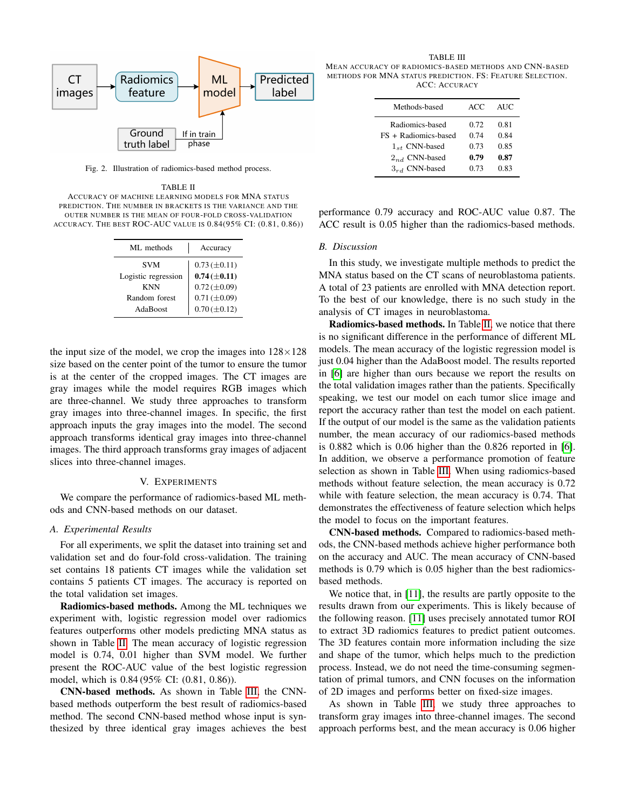

Fig. 2. Illustration of radiomics-based method process.

<span id="page-2-0"></span>TABLE II ACCURACY OF MACHINE LEARNING MODELS FOR MNA STATUS PREDICTION. THE NUMBER IN BRACKETS IS THE VARIANCE AND THE OUTER NUMBER IS THE MEAN OF FOUR-FOLD CROSS-VALIDATION ACCURACY. THE BEST ROC-AUC VALUE IS 0.84(95% CI: (0.81, 0.86))

| ML methods          | Accuracy          |
|---------------------|-------------------|
| SVM                 | $0.73 (\pm 0.11)$ |
| Logistic regression | $0.74 (\pm 0.11)$ |
| KNN                 | $0.72 (\pm 0.09)$ |
| Random forest       | $0.71 (\pm 0.09)$ |
| AdaBoost            | $0.70 (\pm 0.12)$ |

the input size of the model, we crop the images into  $128 \times 128$ size based on the center point of the tumor to ensure the tumor is at the center of the cropped images. The CT images are gray images while the model requires RGB images which are three-channel. We study three approaches to transform gray images into three-channel images. In specific, the first approach inputs the gray images into the model. The second approach transforms identical gray images into three-channel images. The third approach transforms gray images of adjacent slices into three-channel images.

### V. EXPERIMENTS

We compare the performance of radiomics-based ML methods and CNN-based methods on our dataset.

# *A. Experimental Results*

For all experiments, we split the dataset into training set and validation set and do four-fold cross-validation. The training set contains 18 patients CT images while the validation set contains 5 patients CT images. The accuracy is reported on the total validation set images.

Radiomics-based methods. Among the ML techniques we experiment with, logistic regression model over radiomics features outperforms other models predicting MNA status as shown in Table [II.](#page-2-0) The mean accuracy of logistic regression model is 0.74, 0.01 higher than SVM model. We further present the ROC-AUC value of the best logistic regression model, which is 0.84 (95% CI: (0.81, 0.86)).

CNN-based methods. As shown in Table [III,](#page-2-1) the CNNbased methods outperform the best result of radiomics-based method. The second CNN-based method whose input is synthesized by three identical gray images achieves the best

<span id="page-2-1"></span>TABLE III MEAN ACCURACY OF RADIOMICS-BASED METHODS AND CNN-BASED METHODS FOR MNA STATUS PREDICTION. FS: FEATURE SELECTION. ACC: ACCURACY

| Methods-based        | ACC  | AUC  |
|----------------------|------|------|
| Radiomics-based      | 0.72 | 0.81 |
| FS + Radiomics-based | 0.74 | 0.84 |
| $1_{st}$ CNN-based   | 0.73 | 0.85 |
| $2_{nd}$ CNN-based   | 0.79 | 0.87 |
| $3_{rd}$ CNN-based   | 0.73 | 0.83 |

performance 0.79 accuracy and ROC-AUC value 0.87. The ACC result is 0.05 higher than the radiomics-based methods.

# *B. Discussion*

In this study, we investigate multiple methods to predict the MNA status based on the CT scans of neuroblastoma patients. A total of 23 patients are enrolled with MNA detection report. To the best of our knowledge, there is no such study in the analysis of CT images in neuroblastoma.

Radiomics-based methods. In Table [II,](#page-2-0) we notice that there is no significant difference in the performance of different ML models. The mean accuracy of the logistic regression model is just 0.04 higher than the AdaBoost model. The results reported in [\[6\]](#page-3-4) are higher than ours because we report the results on the total validation images rather than the patients. Specifically speaking, we test our model on each tumor slice image and report the accuracy rather than test the model on each patient. If the output of our model is the same as the validation patients number, the mean accuracy of our radiomics-based methods is 0.882 which is 0.06 higher than the 0.826 reported in [\[6\]](#page-3-4). In addition, we observe a performance promotion of feature selection as shown in Table [III.](#page-2-1) When using radiomics-based methods without feature selection, the mean accuracy is 0.72 while with feature selection, the mean accuracy is 0.74. That demonstrates the effectiveness of feature selection which helps the model to focus on the important features.

CNN-based methods. Compared to radiomics-based methods, the CNN-based methods achieve higher performance both on the accuracy and AUC. The mean accuracy of CNN-based methods is 0.79 which is 0.05 higher than the best radiomicsbased methods.

We notice that, in [\[11\]](#page-3-12), the results are partly opposite to the results drawn from our experiments. This is likely because of the following reason. [\[11\]](#page-3-12) uses precisely annotated tumor ROI to extract 3D radiomics features to predict patient outcomes. The 3D features contain more information including the size and shape of the tumor, which helps much to the prediction process. Instead, we do not need the time-consuming segmentation of primal tumors, and CNN focuses on the information of 2D images and performs better on fixed-size images.

As shown in Table [III,](#page-2-1) we study three approaches to transform gray images into three-channel images. The second approach performs best, and the mean accuracy is 0.06 higher